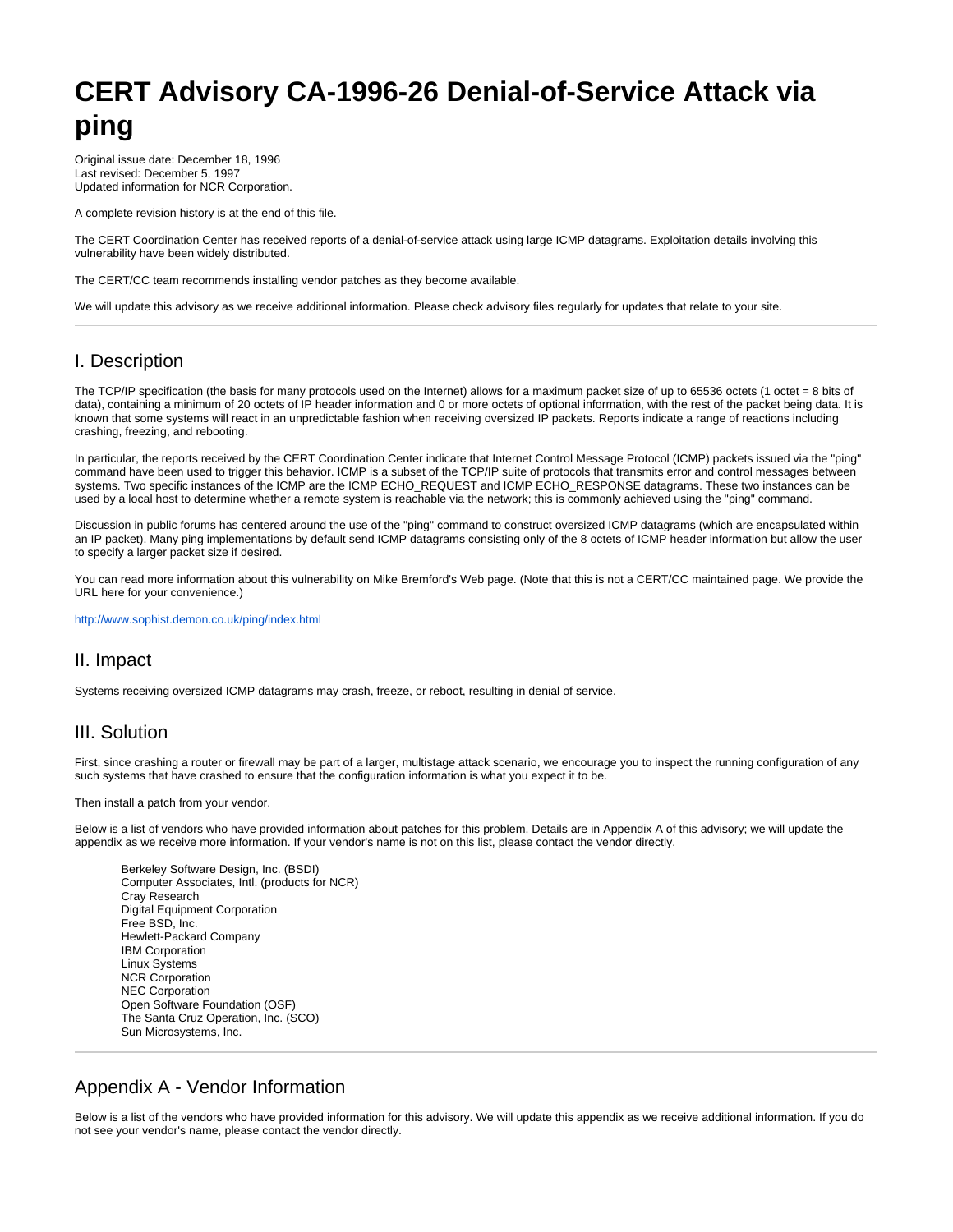# **CERT Advisory CA-1996-26 Denial-of-Service Attack via ping**

Original issue date: December 18, 1996 Last revised: December 5, 1997 Updated information for NCR Corporation.

A complete revision history is at the end of this file.

The CERT Coordination Center has received reports of a denial-of-service attack using large ICMP datagrams. Exploitation details involving this vulnerability have been widely distributed.

The CERT/CC team recommends installing vendor patches as they become available.

We will update this advisory as we receive additional information. Please check advisory files regularly for updates that relate to your site.

# I. Description

The TCP/IP specification (the basis for many protocols used on the Internet) allows for a maximum packet size of up to 65536 octets (1 octet = 8 bits of data), containing a minimum of 20 octets of IP header information and 0 or more octets of optional information, with the rest of the packet being data. It is known that some systems will react in an unpredictable fashion when receiving oversized IP packets. Reports indicate a range of reactions including crashing, freezing, and rebooting.

In particular, the reports received by the CERT Coordination Center indicate that Internet Control Message Protocol (ICMP) packets issued via the "ping" command have been used to trigger this behavior. ICMP is a subset of the TCP/IP suite of protocols that transmits error and control messages between systems. Two specific instances of the ICMP are the ICMP ECHO\_REQUEST and ICMP ECHO\_RESPONSE datagrams. These two instances can be used by a local host to determine whether a remote system is reachable via the network; this is commonly achieved using the "ping" command.

Discussion in public forums has centered around the use of the "ping" command to construct oversized ICMP datagrams (which are encapsulated within an IP packet). Many ping implementations by default send ICMP datagrams consisting only of the 8 octets of ICMP header information but allow the user to specify a larger packet size if desired.

You can read more information about this vulnerability on Mike Bremford's Web page. (Note that this is not a CERT/CC maintained page. We provide the URL here for your convenience.)

<http://www.sophist.demon.co.uk/ping/index.html>

# II. Impact

Systems receiving oversized ICMP datagrams may crash, freeze, or reboot, resulting in denial of service.

# III. Solution

First, since crashing a router or firewall may be part of a larger, multistage attack scenario, we encourage you to inspect the running configuration of any such systems that have crashed to ensure that the configuration information is what you expect it to be.

Then install a patch from your vendor.

Below is a list of vendors who have provided information about patches for this problem. Details are in Appendix A of this advisory; we will update the appendix as we receive more information. If your vendor's name is not on this list, please contact the vendor directly.

Berkeley Software Design, Inc. (BSDI) Computer Associates, Intl. (products for NCR) Cray Research Digital Equipment Corporation Free BSD, Inc. Hewlett-Packard Company IBM Corporation Linux Systems NCR Corporation NEC Corporation Open Software Foundation (OSF) The Santa Cruz Operation, Inc. (SCO) Sun Microsystems, Inc.

# Appendix A - Vendor Information

Below is a list of the vendors who have provided information for this advisory. We will update this appendix as we receive additional information. If you do not see your vendor's name, please contact the vendor directly.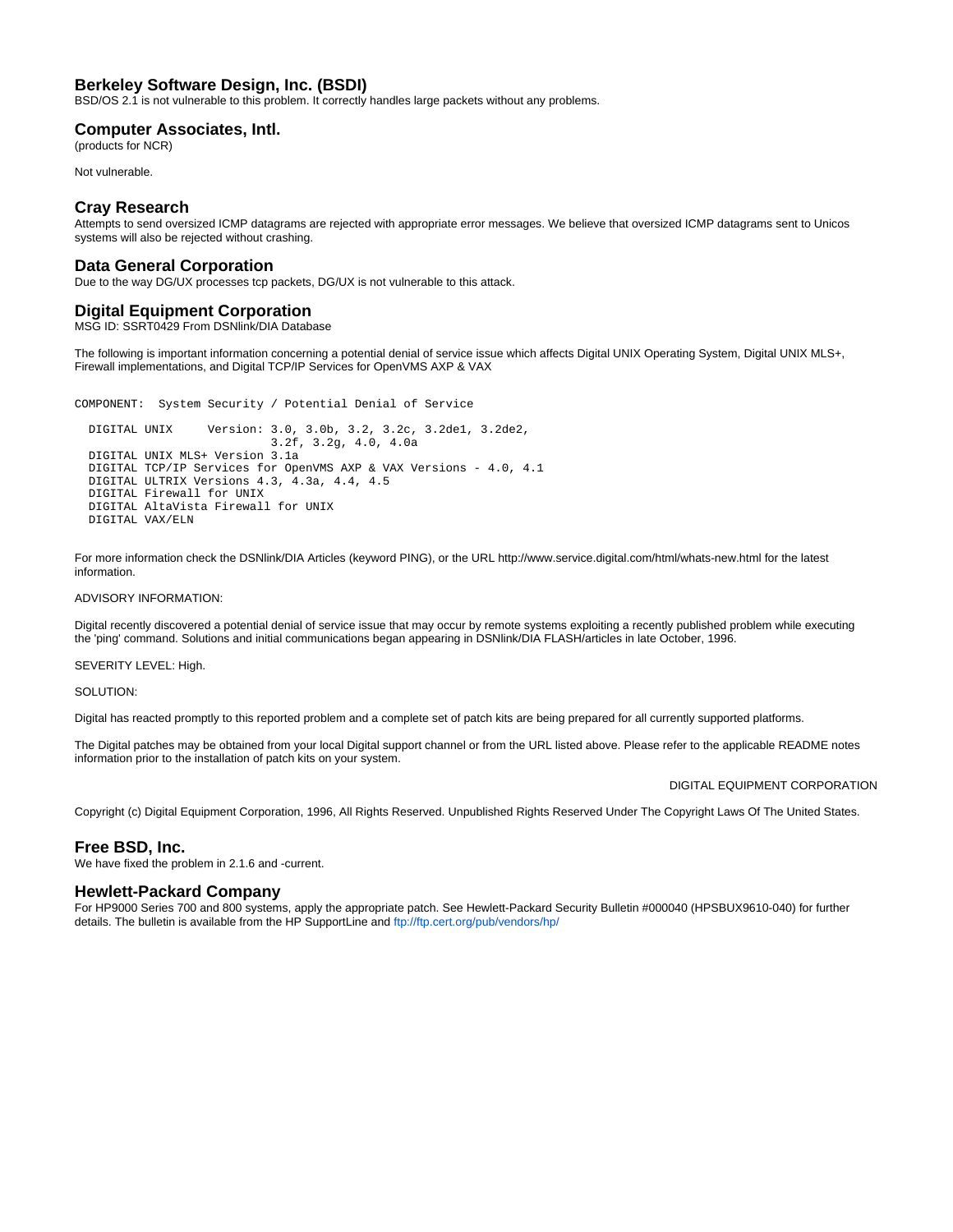# **Berkeley Software Design, Inc. (BSDI)**

BSD/OS 2.1 is not vulnerable to this problem. It correctly handles large packets without any problems.

#### **Computer Associates, Intl.**

(products for NCR)

Not vulnerable.

#### **Cray Research**

Attempts to send oversized ICMP datagrams are rejected with appropriate error messages. We believe that oversized ICMP datagrams sent to Unicos systems will also be rejected without crashing.

### **Data General Corporation**

Due to the way DG/UX processes tcp packets, DG/UX is not vulnerable to this attack.

## **Digital Equipment Corporation**

MSG ID: SSRT0429 From DSNlink/DIA Database

The following is important information concerning a potential denial of service issue which affects Digital UNIX Operating System, Digital UNIX MLS+, Firewall implementations, and Digital TCP/IP Services for OpenVMS AXP & VAX

COMPONENT: System Security / Potential Denial of Service

 DIGITAL UNIX Version: 3.0, 3.0b, 3.2, 3.2c, 3.2de1, 3.2de2, 3.2f, 3.2g, 4.0, 4.0a DIGITAL UNIX MLS+ Version 3.1a DIGITAL TCP/IP Services for OpenVMS AXP & VAX Versions - 4.0, 4.1 DIGITAL ULTRIX Versions 4.3, 4.3a, 4.4, 4.5 DIGITAL Firewall for UNIX DIGITAL AltaVista Firewall for UNIX DIGITAL VAX/ELN

For more information check the DSNlink/DIA Articles (keyword PING), or the URL http://www.service.digital.com/html/whats-new.html for the latest information.

#### ADVISORY INFORMATION:

Digital recently discovered a potential denial of service issue that may occur by remote systems exploiting a recently published problem while executing the 'ping' command. Solutions and initial communications began appearing in DSNlink/DIA FLASH/articles in late October, 1996.

SEVERITY LEVEL: High.

SOLUTION:

Digital has reacted promptly to this reported problem and a complete set of patch kits are being prepared for all currently supported platforms.

The Digital patches may be obtained from your local Digital support channel or from the URL listed above. Please refer to the applicable README notes information prior to the installation of patch kits on your system.

DIGITAL EQUIPMENT CORPORATION

Copyright (c) Digital Equipment Corporation, 1996, All Rights Reserved. Unpublished Rights Reserved Under The Copyright Laws Of The United States.

#### **Free BSD, Inc.**

We have fixed the problem in 2.1.6 and -current.

#### **Hewlett-Packard Company**

For HP9000 Series 700 and 800 systems, apply the appropriate patch. See Hewlett-Packard Security Bulletin #000040 (HPSBUX9610-040) for further details. The bulletin is available from the HP SupportLine and<ftp://ftp.cert.org/pub/vendors/hp/>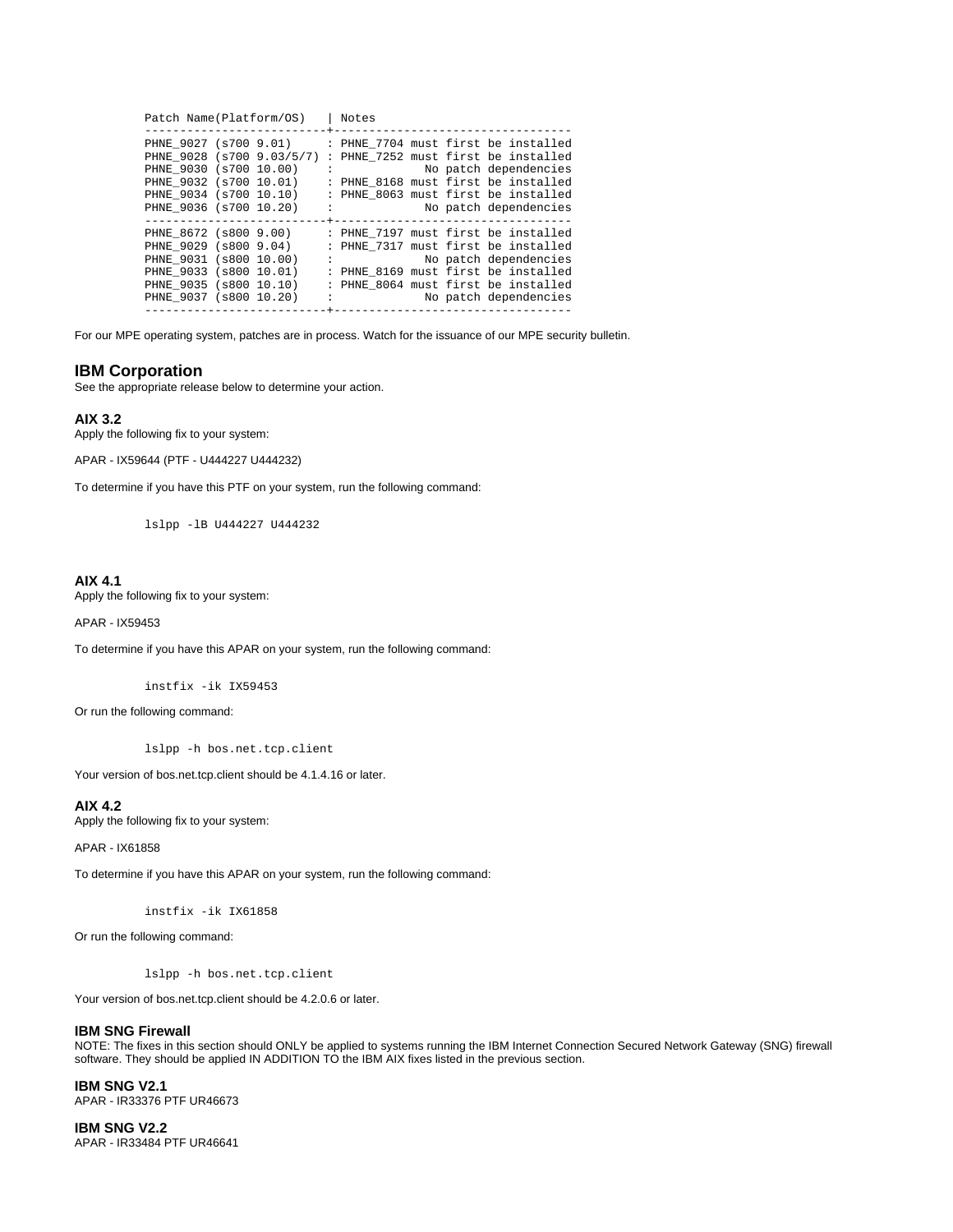|                                                                                                                                                            | Patch Name(Platform/OS) |                            | Notes |  |                                                                                                                                                                                                            |
|------------------------------------------------------------------------------------------------------------------------------------------------------------|-------------------------|----------------------------|-------|--|------------------------------------------------------------------------------------------------------------------------------------------------------------------------------------------------------------|
| PHNE 9027 (s700 9.01)<br>PHNE 9028 (s700 9.03/5/7)<br>PHNE 9030 (s700 10.00)<br>PHNE 9032 (s700 10.01)<br>PHNE 9034 (s700 10.10)<br>PHNE 9036 (s700 10.20) | $\mathbb{R}^2$          | +------------------------- |       |  | : PHNE 7704 must first be installed<br>: PHNE 7252 must first be installed<br>No patch dependencies<br>: PHNE 8168 must first be installed<br>: PHNE 8063 must first be installed<br>No patch dependencies |
| PHNE 8672 (s800 9.00)<br>PHNE 9029 (s800 9.04)<br>PHNE 9031 (s800 10.00)<br>PHNE 9033 (s800 10.01)<br>PHNE 9035 (s800 10.10)<br>PHNE 9037 (s800 10.20)     | ÷                       |                            |       |  | : PHNE 7197 must first be installed<br>: PHNE 7317 must first be installed<br>No patch dependencies<br>: PHNE 8169 must first be installed<br>: PHNE 8064 must first be installed<br>No patch dependencies |

For our MPE operating system, patches are in process. Watch for the issuance of our MPE security bulletin.

## **IBM Corporation**

See the appropriate release below to determine your action.

#### **AIX 3.2**

Apply the following fix to your system:

APAR - IX59644 (PTF - U444227 U444232)

To determine if you have this PTF on your system, run the following command:

lslpp -lB U444227 U444232

## **AIX 4.1**

Apply the following fix to your system:

APAR - IX59453

To determine if you have this APAR on your system, run the following command:

instfix -ik IX59453

Or run the following command:

lslpp -h bos.net.tcp.client

Your version of bos.net.tcp.client should be 4.1.4.16 or later.

## **AIX 4.2**

Apply the following fix to your system:

APAR - IX61858

To determine if you have this APAR on your system, run the following command:

instfix -ik IX61858

Or run the following command:

lslpp -h bos.net.tcp.client

Your version of bos.net.tcp.client should be 4.2.0.6 or later.

#### **IBM SNG Firewall**

NOTE: The fixes in this section should ONLY be applied to systems running the IBM Internet Connection Secured Network Gateway (SNG) firewall software. They should be applied IN ADDITION TO the IBM AIX fixes listed in the previous section.

**IBM SNG V2.1** APAR - IR33376 PTF UR46673

**IBM SNG V2.2** APAR - IR33484 PTF UR46641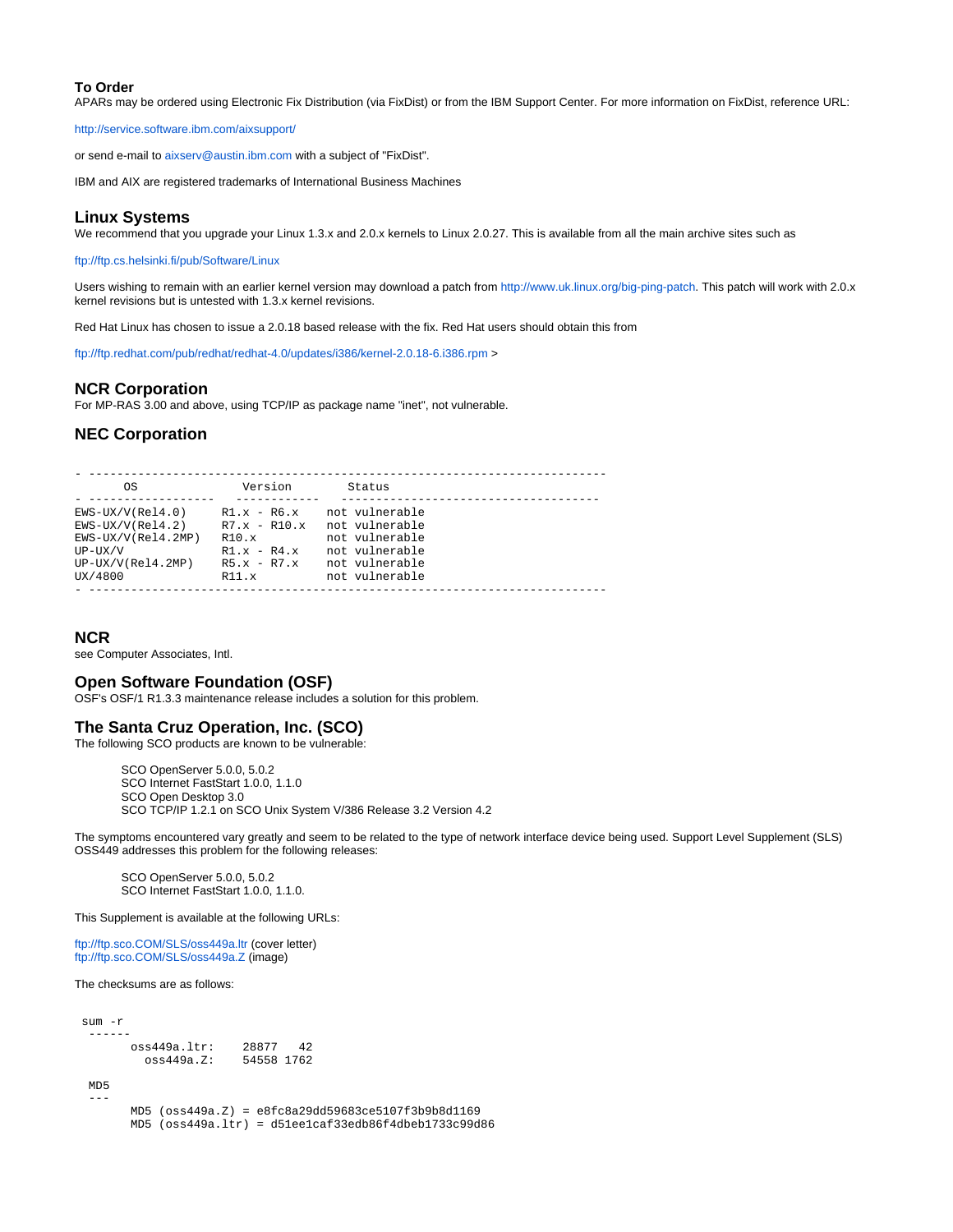#### **To Order**

APARs may be ordered using Electronic Fix Distribution (via FixDist) or from the IBM Support Center. For more information on FixDist, reference URL:

<http://service.software.ibm.com/aixsupport/>

or send e-mail to [aixserv@austin.ibm.com](mailto:aixserv@austin.ibm.com) with a subject of "FixDist".

IBM and AIX are registered trademarks of International Business Machines

### **Linux Systems**

We recommend that you upgrade your Linux 1.3.x and 2.0.x kernels to Linux 2.0.27. This is available from all the main archive sites such as

#### <ftp://ftp.cs.helsinki.fi/pub/Software/Linux>

Users wishing to remain with an earlier kernel version may download a patch from [http://www.uk.linux.org/big-ping-patch.](http://www.uk.linux.org/big-ping-patch) This patch will work with 2.0.x kernel revisions but is untested with 1.3.x kernel revisions.

Red Hat Linux has chosen to issue a 2.0.18 based release with the fix. Red Hat users should obtain this from

<ftp://ftp.redhat.com/pub/redhat/redhat-4.0/updates/i386/kernel-2.0.18-6.i386.rpm>>

#### **NCR Corporation**

For MP-RAS 3.00 and above, using TCP/IP as package name "inet", not vulnerable.

## **NEC Corporation**

| O.S                  | Version                  | Status         |  |
|----------------------|--------------------------|----------------|--|
| $EWS-UX/V(Rel4.0)$   | $R1.x - R6.x$            | not vulnerable |  |
| $EWS-UX/V(Rel4.2)$   | $R7.x - R10.x$           | not vulnerable |  |
| $EWS-UX/V(Rel4.2MP)$ | R10.x                    | not vulnerable |  |
| $UP-UX/V$            | $R1.x - R4.x$            | not vulnerable |  |
| $UP-UX/V(Rel4.2MP)$  | $R5 \times - R7 \cdot x$ | not vulnerable |  |
| UX/4800              | R11.x                    | not vulnerable |  |

#### **NCR**

see Computer Associates, Intl.

## **Open Software Foundation (OSF)**

OSF's OSF/1 R1.3.3 maintenance release includes a solution for this problem.

# **The Santa Cruz Operation, Inc. (SCO)**

The following SCO products are known to be vulnerable:

SCO OpenServer 5.0.0, 5.0.2 SCO Internet FastStart 1.0.0, 1.1.0 SCO Open Desktop 3.0 SCO TCP/IP 1.2.1 on SCO Unix System V/386 Release 3.2 Version 4.2

The symptoms encountered vary greatly and seem to be related to the type of network interface device being used. Support Level Supplement (SLS) OSS449 addresses this problem for the following releases:

SCO OpenServer 5.0.0, 5.0.2 SCO Internet FastStart 1.0.0, 1.1.0.

This Supplement is available at the following URLs:

<ftp://ftp.sco.COM/SLS/oss449a.ltr> (cover letter) <ftp://ftp.sco.COM/SLS/oss449a.Z>(image)

The checksums are as follows:

| $sum - r$     |             |
|---------------|-------------|
|               |             |
| oss449a.ltr:  | 28877<br>42 |
| $oss449a.Z$ : | 54558 1762  |

 MD5 ---

 MD5 (oss449a.Z) = e8fc8a29dd59683ce5107f3b9b8d1169 MD5 (oss449a.ltr) = d51ee1caf33edb86f4dbeb1733c99d86